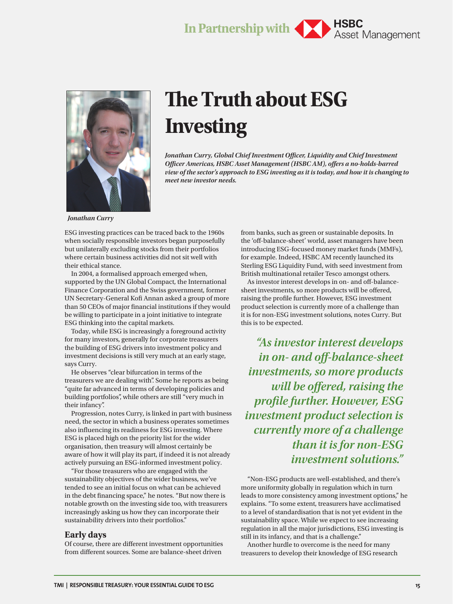# **In Partnership with ASBC** Asset Management



# **The Truth about ESG Investing**

*Jonathan Curry, Global Chief Investment Officer, Liquidity and Chief Investment Officer Americas, HSBC Asset Management (HSBC AM), offers a no-holds-barred view of the sector's approach to ESG investing as it is today, and how it is changing to meet new investor needs.*

*Jonathan Curry*

ESG investing practices can be traced back to the 1960s when socially responsible investors began purposefully but unilaterally excluding stocks from their portfolios where certain business activities did not sit well with their ethical stance.

In 2004, a formalised approach emerged when, supported by the UN Global Compact, the International Finance Corporation and the Swiss government, former UN Secretary-General Kofi Annan asked a group of more than 50 CEOs of major financial institutions if they would be willing to participate in a joint initiative to integrate ESG thinking into the capital markets.

Today, while ESG is increasingly a foreground activity for many investors, generally for corporate treasurers the building of ESG drivers into investment policy and investment decisions is still very much at an early stage, says Curry.

He observes "clear bifurcation in terms of the treasurers we are dealing with". Some he reports as being "quite far advanced in terms of developing policies and building portfolios", while others are still "very much in their infancy".

Progression, notes Curry, is linked in part with business need, the sector in which a business operates sometimes also influencing its readiness for ESG investing. Where ESG is placed high on the priority list for the wider organisation, then treasury will almost certainly be aware of how it will play its part, if indeed it is not already actively pursuing an ESG-informed investment policy.

"For those treasurers who are engaged with the sustainability objectives of the wider business, we've tended to see an initial focus on what can be achieved in the debt financing space," he notes. "But now there is notable growth on the investing side too, with treasurers increasingly asking us how they can incorporate their sustainability drivers into their portfolios."

### **Early days**

Of course, there are different investment opportunities from different sources. Some are balance-sheet driven

from banks, such as green or sustainable deposits. In the 'off-balance-sheet' world, asset managers have been introducing ESG-focused money market funds (MMFs), for example. Indeed, HSBC AM recently launched its Sterling ESG Liquidity Fund, with seed investment from British multinational retailer Tesco amongst others.

As investor interest develops in on- and off-balancesheet investments, so more products will be offered, raising the profile further. However, ESG investment product selection is currently more of a challenge than it is for non-ESG investment solutions, notes Curry. But this is to be expected.

*"As investor interest develops in on- and off-balance-sheet investments, so more products will be offered, raising the profile further. However, ESG investment product selection is currently more of a challenge than it is for non-ESG investment solutions."*

"Non-ESG products are well-established, and there's more uniformity globally in regulation which in turn leads to more consistency among investment options," he explains. "To some extent, treasurers have acclimatised to a level of standardisation that is not yet evident in the sustainability space. While we expect to see increasing regulation in all the major jurisdictions, ESG investing is still in its infancy, and that is a challenge."

Another hurdle to overcome is the need for many treasurers to develop their knowledge of ESG research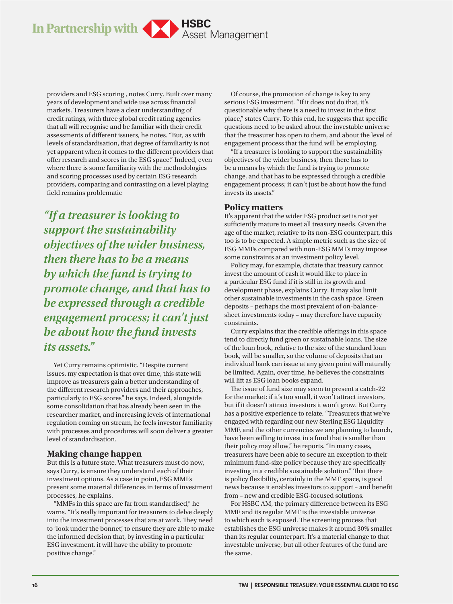**In Partnership with Asset Management** 

providers and ESG scoring , notes Curry. Built over many years of development and wide use across financial markets, Treasurers have a clear understanding of credit ratings, with three global credit rating agencies that all will recognise and be familiar with their credit assessments of different issuers, he notes. "But, as with levels of standardisation, that degree of familiarity is not yet apparent when it comes to the different providers that offer research and scores in the ESG space." Indeed, even where there is some familiarity with the methodologies and scoring processes used by certain ESG research providers, comparing and contrasting on a level playing field remains problematic

*"If a treasurer is looking to support the sustainability objectives of the wider business, then there has to be a means by which the fund is trying to promote change, and that has to be expressed through a credible engagement process; it can't just be about how the fund invests its assets."*

Yet Curry remains optimistic. "Despite current issues, my expectation is that over time, this state will improve as treasurers gain a better understanding of the different research providers and their approaches, particularly to ESG scores" he says. Indeed, alongside some consolidation that has already been seen in the researcher market, and increasing levels of international regulation coming on stream, he feels investor familiarity with processes and procedures will soon deliver a greater level of standardisation.

## **Making change happen**

But this is a future state. What treasurers must do now, says Curry, is ensure they understand each of their investment options. As a case in point, ESG MMFs present some material differences in terms of investment processes, he explains.

"MMFs in this space are far from standardised," he warns. "It's really important for treasurers to delve deeply into the investment processes that are at work. They need to 'look under the bonnet', to ensure they are able to make the informed decision that, by investing in a particular ESG investment, it will have the ability to promote positive change."

Of course, the promotion of change is key to any serious ESG investment. "If it does not do that, it's questionable why there is a need to invest in the first place," states Curry. To this end, he suggests that specific questions need to be asked about the investable universe that the treasurer has open to them, and about the level of engagement process that the fund will be employing.

"If a treasurer is looking to support the sustainability objectives of the wider business, then there has to be a means by which the fund is trying to promote change, and that has to be expressed through a credible engagement process; it can't just be about how the fund invests its assets."

#### **Policy matters**

It's apparent that the wider ESG product set is not yet sufficiently mature to meet all treasury needs. Given the age of the market, relative to its non-ESG counterpart, this too is to be expected. A simple metric such as the size of ESG MMFs compared with non-ESG MMFs may impose some constraints at an investment policy level.

Policy may, for example, dictate that treasury cannot invest the amount of cash it would like to place in a particular ESG fund if it is still in its growth and development phase, explains Curry. It may also limit other sustainable investments in the cash space. Green deposits – perhaps the most prevalent of on-balancesheet investments today – may therefore have capacity constraints.

Curry explains that the credible offerings in this space tend to directly fund green or sustainable loans. The size of the loan book, relative to the size of the standard loan book, will be smaller, so the volume of deposits that an individual bank can issue at any given point will naturally be limited. Again, over time, he believes the constraints will lift as ESG loan books expand.

The issue of fund size may seem to present a catch-22 for the market: if it's too small, it won't attract investors, but if it doesn't attract investors it won't grow. But Curry has a positive experience to relate. "Treasurers that we've engaged with regarding our new Sterling ESG Liquidity MMF, and the other currencies we are planning to launch, have been willing to invest in a fund that is smaller than their policy may allow," he reports. "In many cases, treasurers have been able to secure an exception to their minimum fund-size policy because they are specifically investing in a credible sustainable solution." That there is policy flexibility, certainly in the MMF space, is good news because it enables investors to support – and benefit from – new and credible ESG-focused solutions.

For HSBC AM, the primary difference between its ESG MMF and its regular MMF is the investable universe to which each is exposed. The screening process that establishes the ESG universe makes it around 30% smaller than its regular counterpart. It's a material change to that investable universe, but all other features of the fund are the same.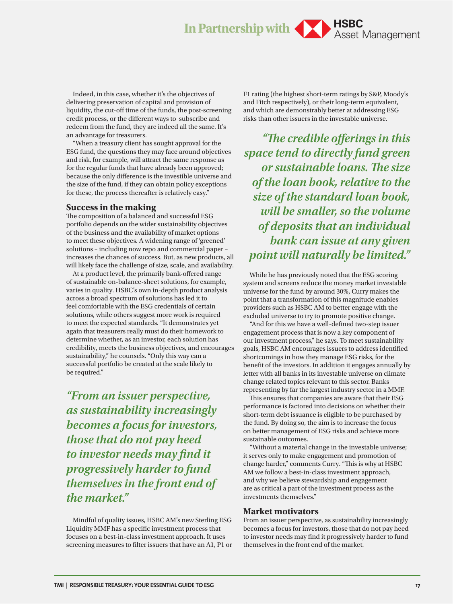# In Partnership with **Asset Management**

Indeed, in this case, whether it's the objectives of delivering preservation of capital and provision of liquidity, the cut-off time of the funds, the post-screening credit process, or the different ways to subscribe and redeem from the fund, they are indeed all the same. It's an advantage for treasurers.

"When a treasury client has sought approval for the ESG fund, the questions they may face around objectives and risk, for example, will attract the same response as for the regular funds that have already been approved; because the only difference is the investible universe and the size of the fund, if they can obtain policy exceptions for these, the process thereafter is relatively easy."

#### **Success in the making**

The composition of a balanced and successful ESG portfolio depends on the wider sustainability objectives of the business and the availability of market options to meet these objectives. A widening range of 'greened' solutions – including now repo and commercial paper – increases the chances of success. But, as new products, all will likely face the challenge of size, scale, and availability.

At a product level, the primarily bank-offered range of sustainable on-balance-sheet solutions, for example, varies in quality. HSBC's own in-depth product analysis across a broad spectrum of solutions has led it to feel comfortable with the ESG credentials of certain solutions, while others suggest more work is required to meet the expected standards. "It demonstrates yet again that treasurers really must do their homework to determine whether, as an investor, each solution has credibility, meets the business objectives, and encourages sustainability," he counsels. "Only this way can a successful portfolio be created at the scale likely to be required."

*"From an issuer perspective, as sustainability increasingly becomes a focus for investors, those that do not pay heed to investor needs may find it progressively harder to fund themselves in the front end of the market."* 

Mindful of quality issues, HSBC AM's new Sterling ESG Liquidity MMF has a specific investment process that focuses on a best-in-class investment approach. It uses screening measures to filter issuers that have an A1, P1 or F1 rating (the highest short-term ratings by S&P, Moody's and Fitch respectively), or their long-term equivalent, and which are demonstrably better at addressing ESG risks than other issuers in the investable universe.

*"The credible offerings in this space tend to directly fund green or sustainable loans. The size of the loan book, relative to the size of the standard loan book, will be smaller, so the volume of deposits that an individual bank can issue at any given point will naturally be limited."*

While he has previously noted that the ESG scoring system and screens reduce the money market investable universe for the fund by around 30%, Curry makes the point that a transformation of this magnitude enables providers such as HSBC AM to better engage with the excluded universe to try to promote positive change.

"And for this we have a well-defined two-step issuer engagement process that is now a key component of our investment process," he says. To meet sustainability goals, HSBC AM encourages issuers to address identified shortcomings in how they manage ESG risks, for the benefit of the investors. In addition it engages annually by letter with all banks in its investable universe on climate change related topics relevant to this sector. Banks representing by far the largest industry sector in a MMF.

This ensures that companies are aware that their ESG performance is factored into decisions on whether their short-term debt issuance is eligible to be purchased by the fund. By doing so, the aim is to increase the focus on better management of ESG risks and achieve more sustainable outcomes.

"Without a material change in the investable universe; it serves only to make engagement and promotion of change harder," comments Curry. "This is why at HSBC AM we follow a best-in-class investment approach, and why we believe stewardship and engagement are as critical a part of the investment process as the investments themselves."

### **Market motivators**

From an issuer perspective, as sustainability increasingly becomes a focus for investors, those that do not pay heed to investor needs may find it progressively harder to fund themselves in the front end of the market.